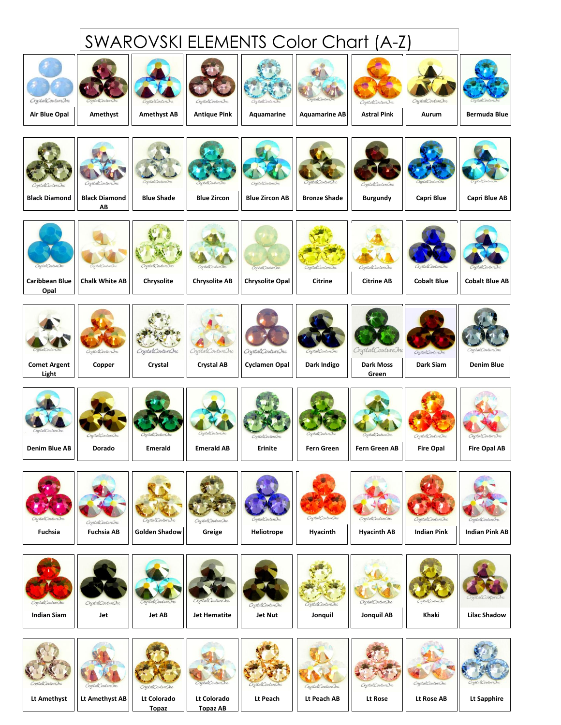## SWAROVSKI ELEMENTS Color Chart (A-Z)